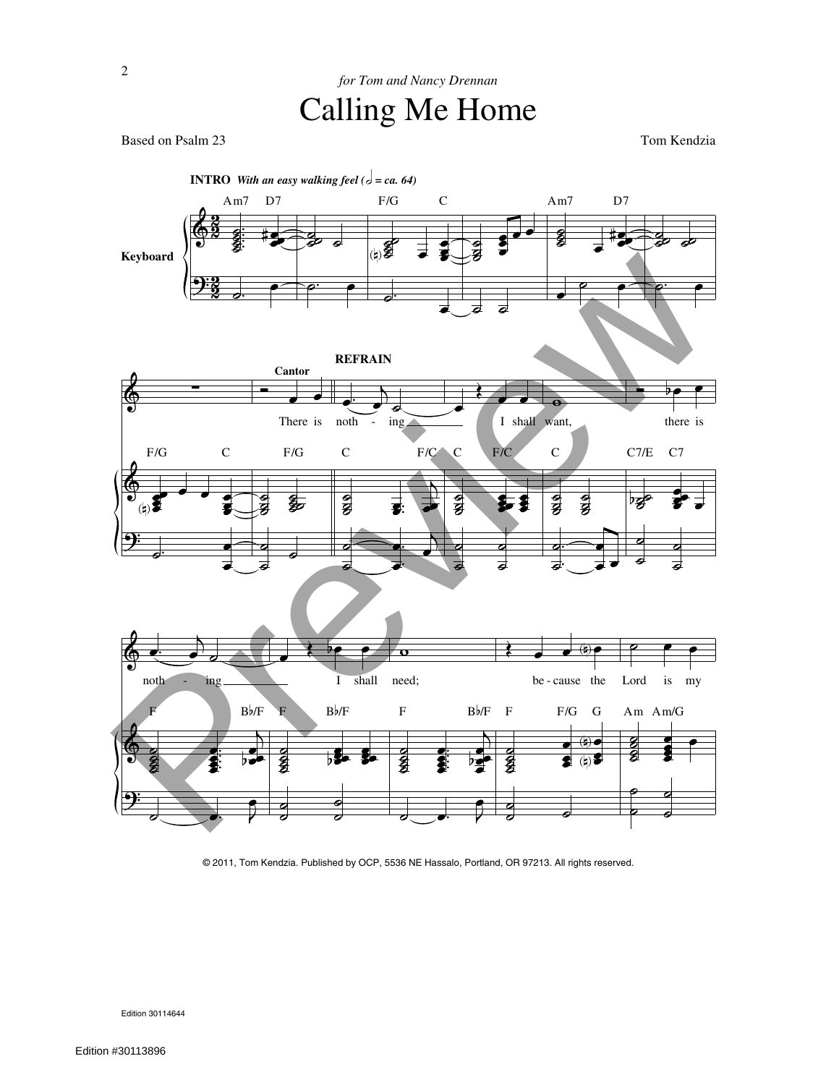Based on Psalm 23 Tom Kendzia



© 2011, Tom Kendzia. Published by OCP, 5536 NE Hassalo, Portland, OR 97213. All rights reserved.

Edition 30114644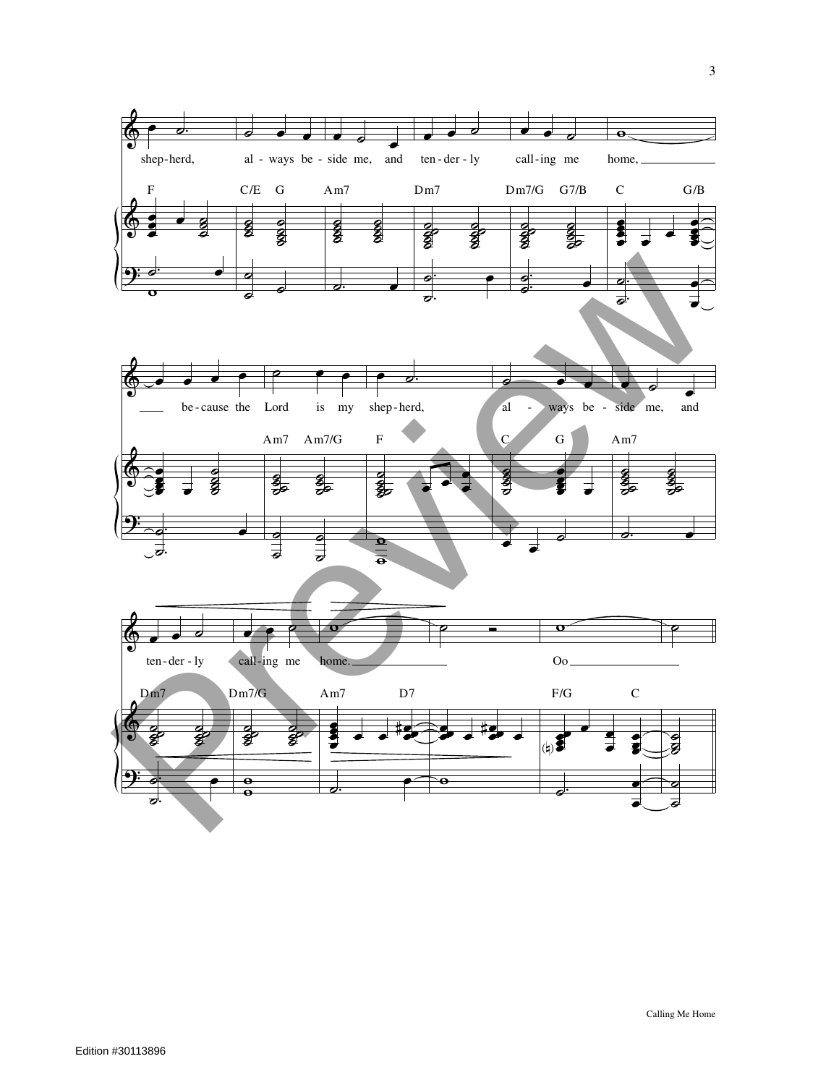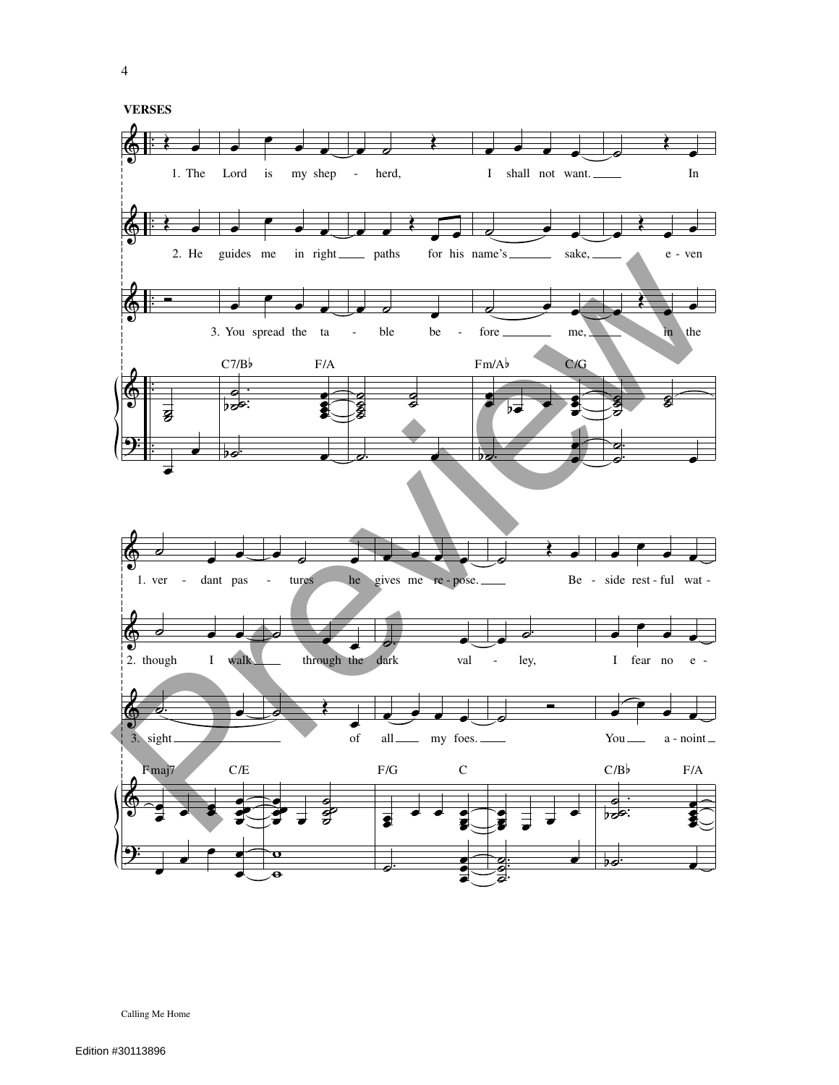$\overline{4}$ 

**VERSES** 

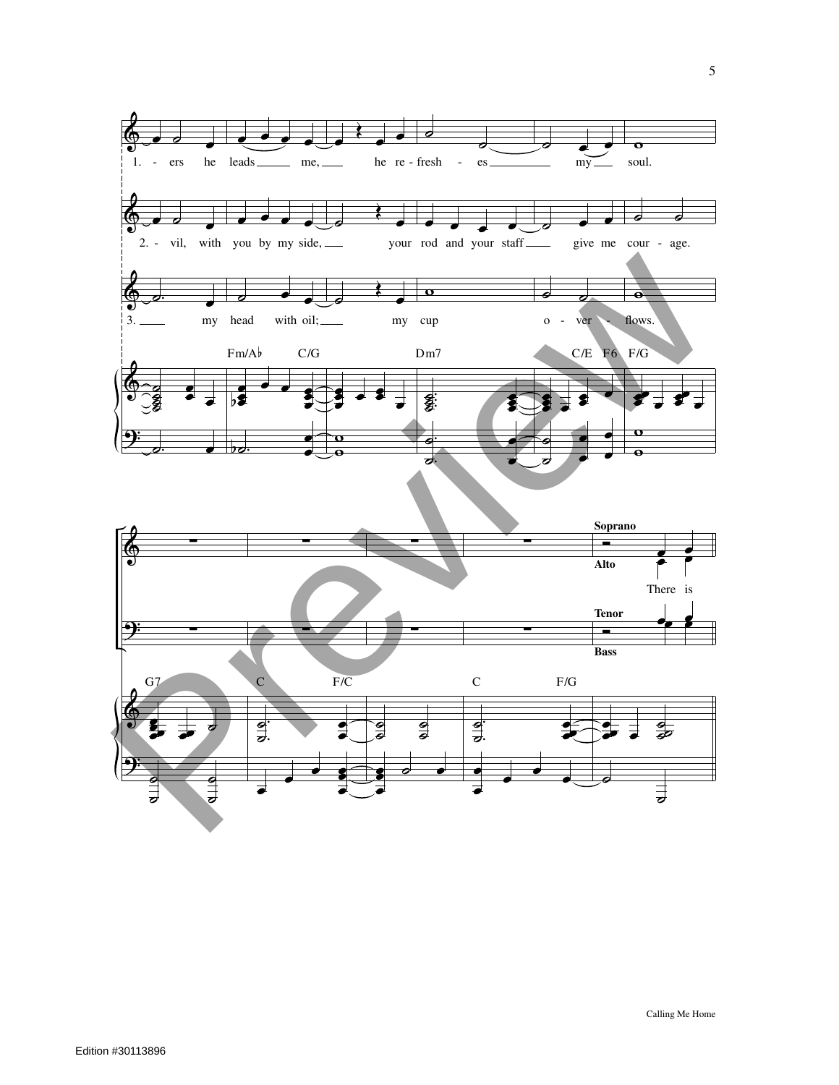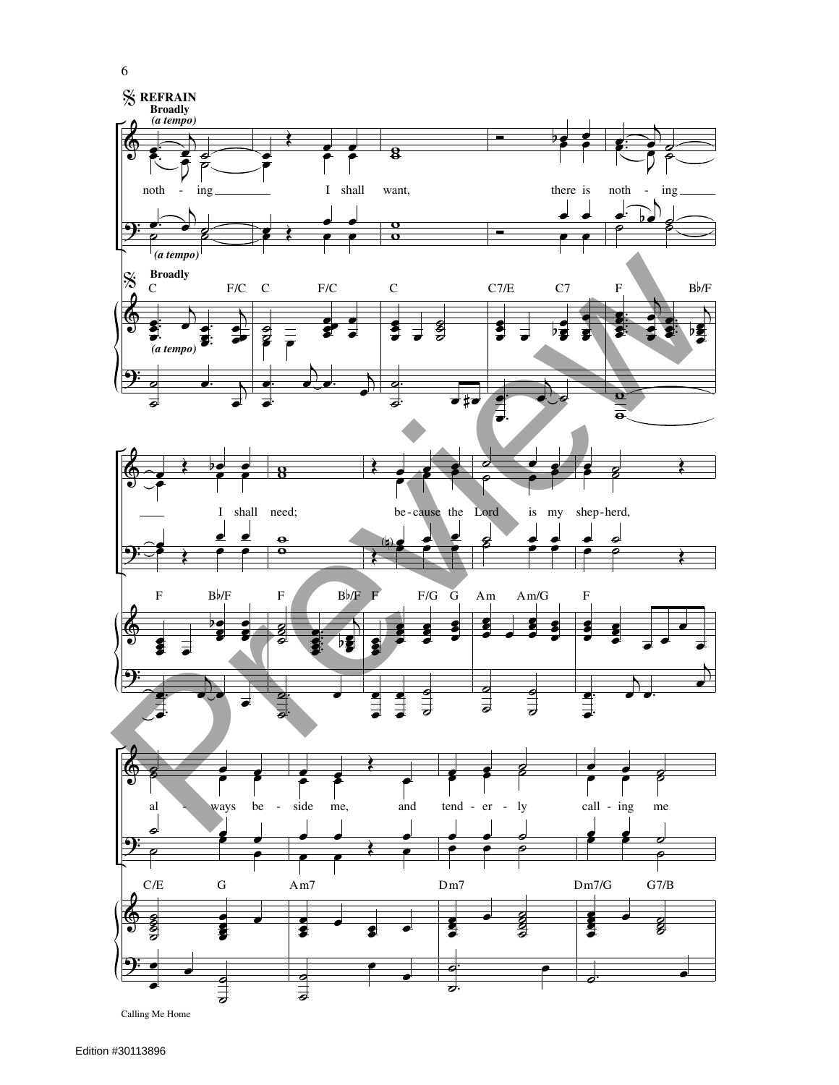

6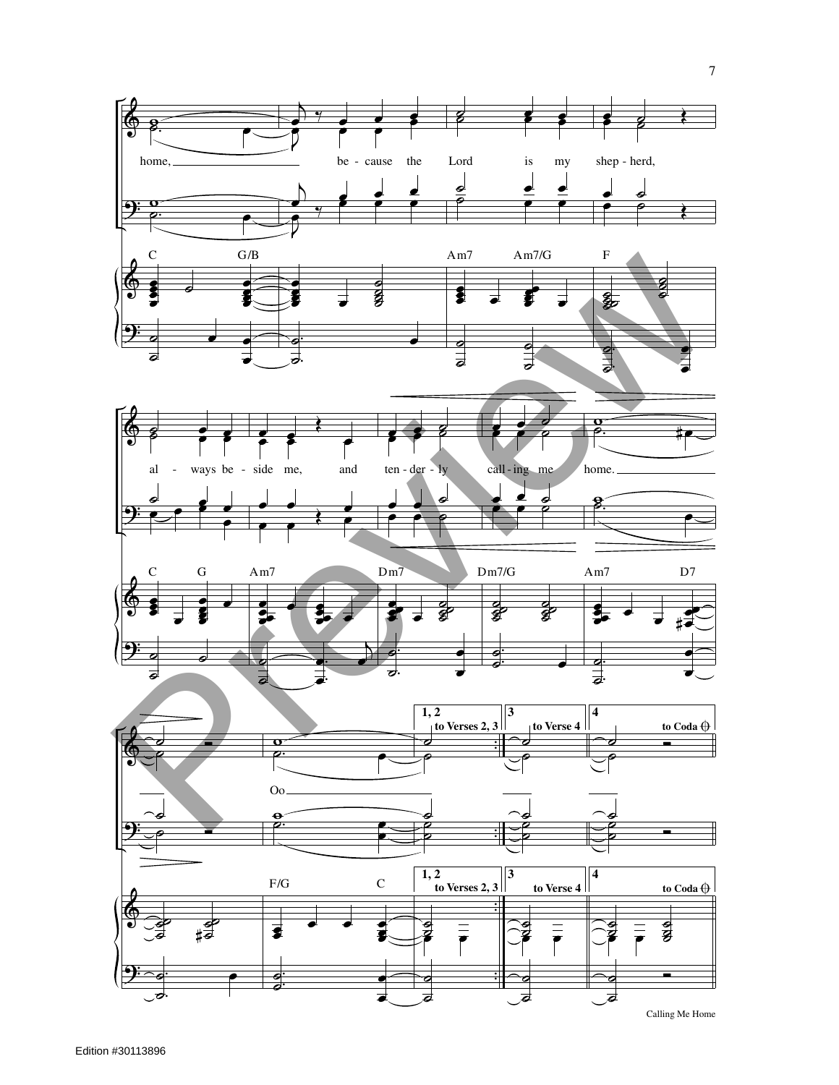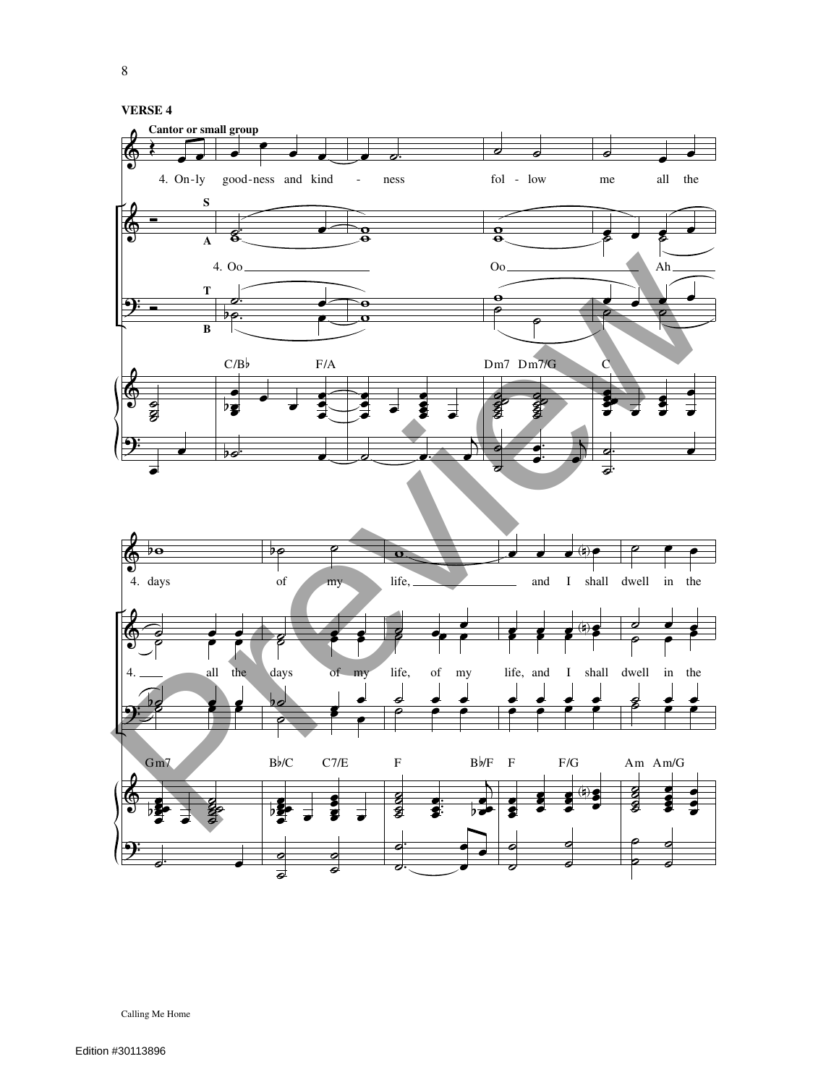

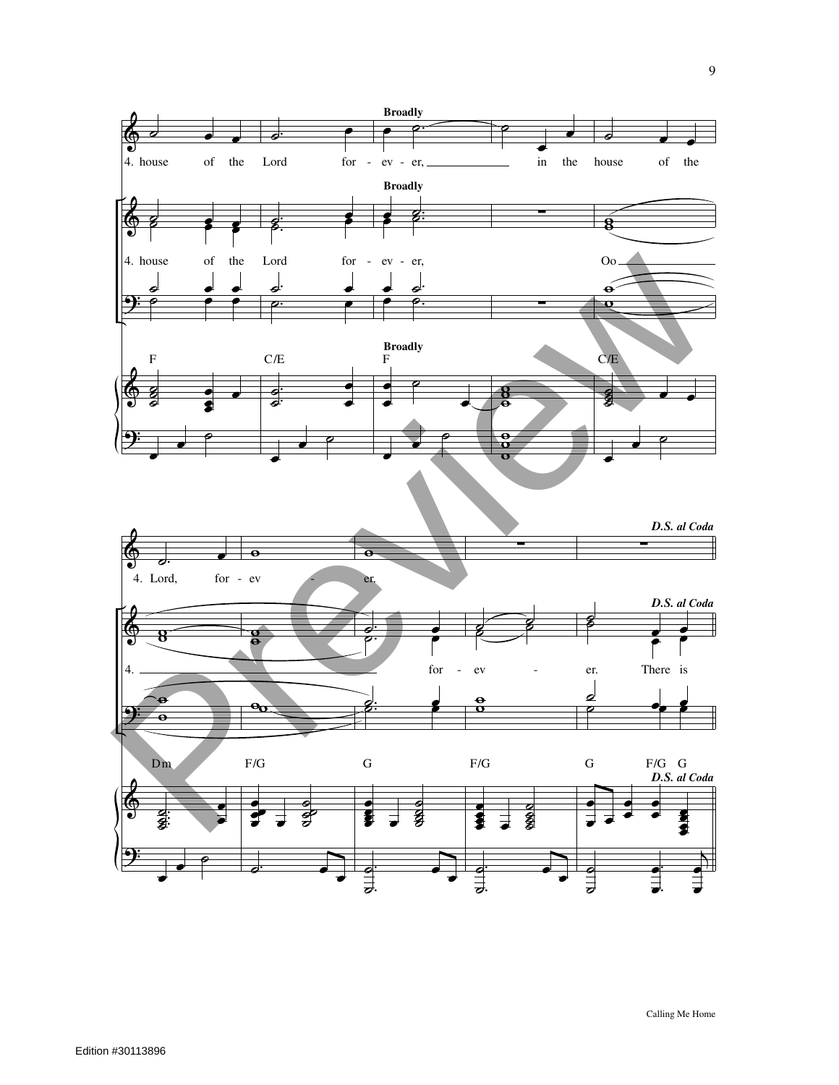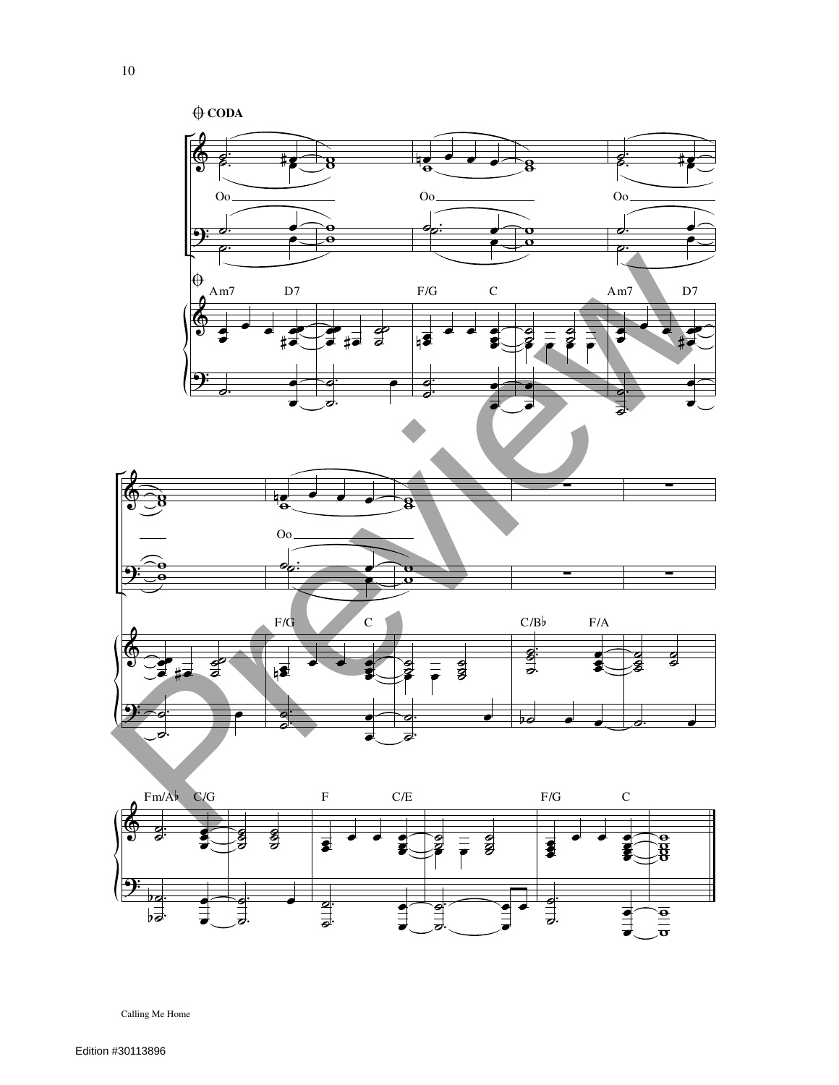

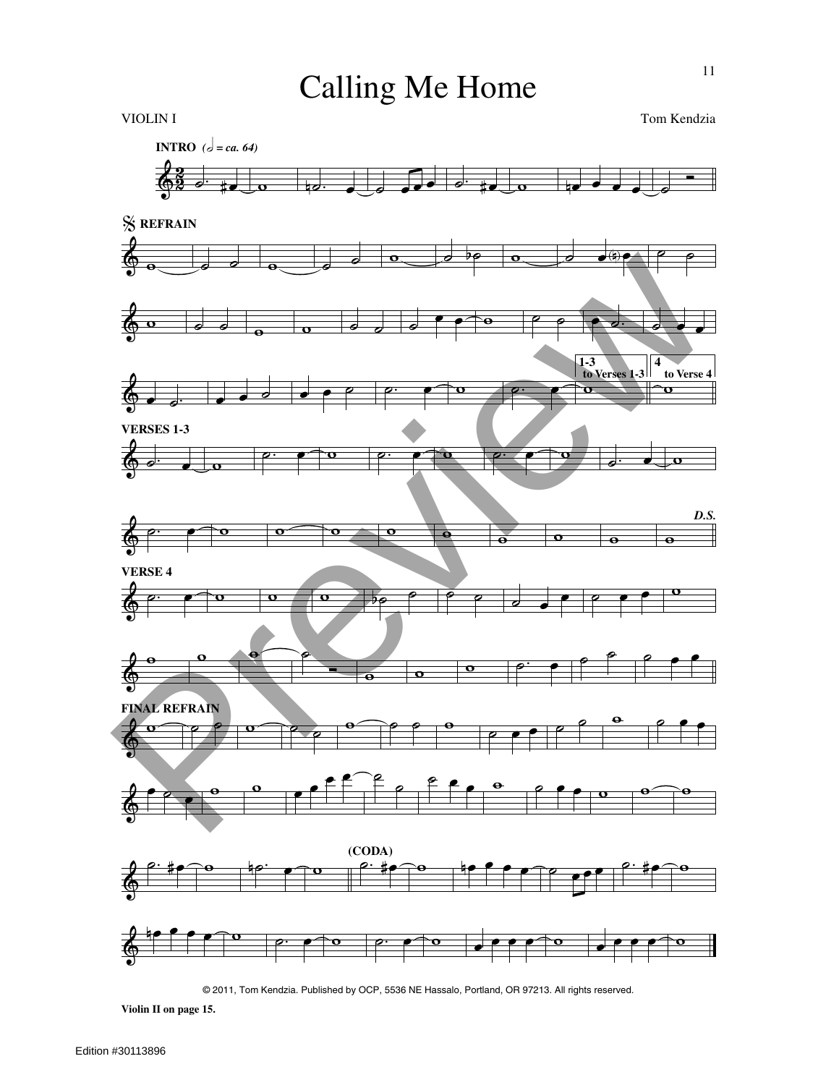

© 2011, Tom Kendzia. Published by OCP, 5536 NE Hassalo, Portland, OR 97213. All rights reserved.

**Violin II on page 15.**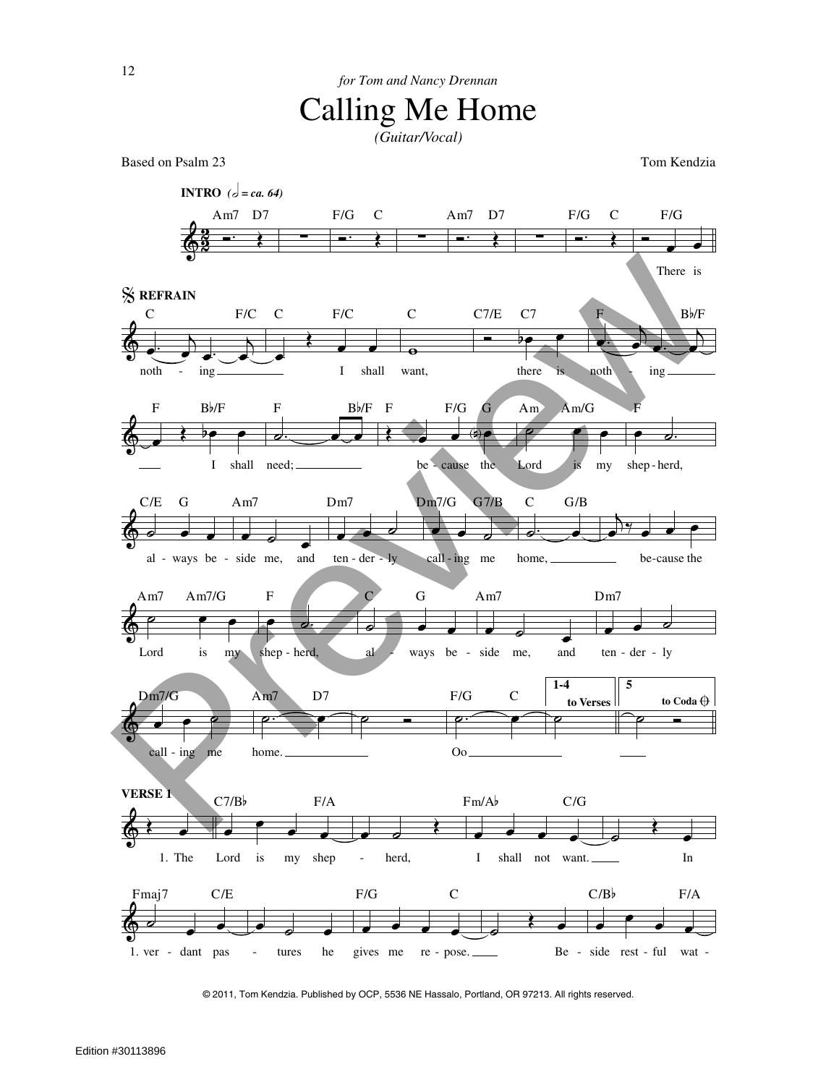*(Guitar/Vocal)*

Based on Psalm 23 Tom Kendzia



© 2011, Tom Kendzia. Published by OCP, 5536 NE Hassalo, Portland, OR 97213. All rights reserved.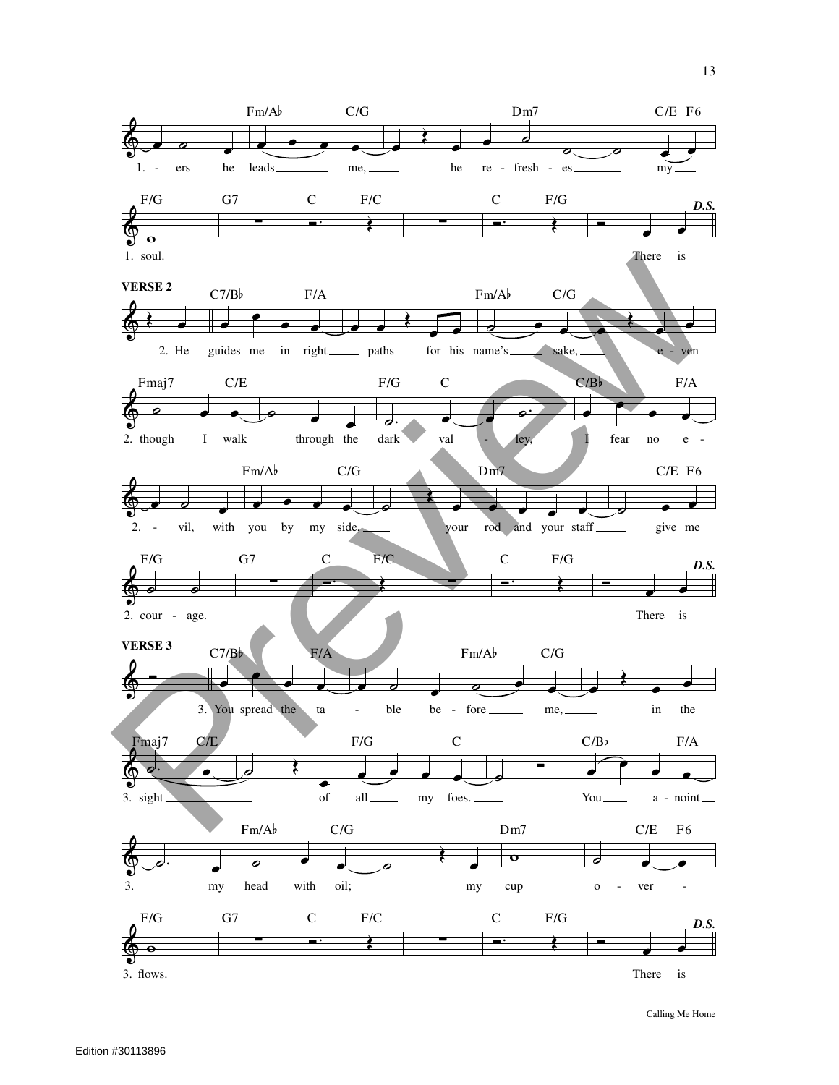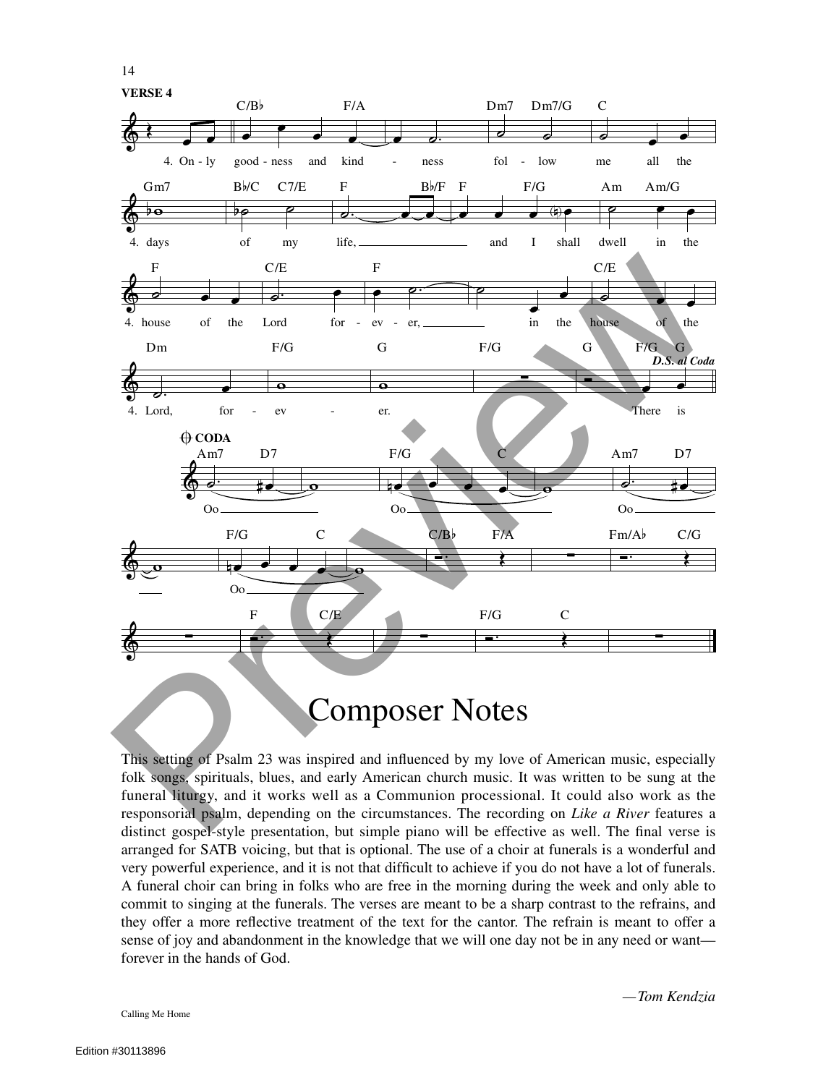14



This setting of Psalm 23 was inspired and influenced by my love of American music, especially folk songs, spirituals, blues, and early American church music. It was written to be sung at the funeral liturgy, and it works well as a Communion processional. It could also work as the responsorial psalm, depending on the circumstances. The recording on *Like a River* features a distinct gospel-style presentation, but simple piano will be effective as well. The final verse is arranged for SATB voicing, but that is optional. The use of a choir at funerals is a wonderful and very powerful experience, and it is not that difficult to achieve if you do not have a lot of funerals. A funeral choir can bring in folks who are free in the morning during the week and only able to commit to singing at the funerals. The verses are meant to be a sharp contrast to the refrains, and they offer a more reflective treatment of the text for the cantor. The refrain is meant to offer a sense of joy and abandonment in the knowledge that we will one day not be in any need or want forever in the hands of God.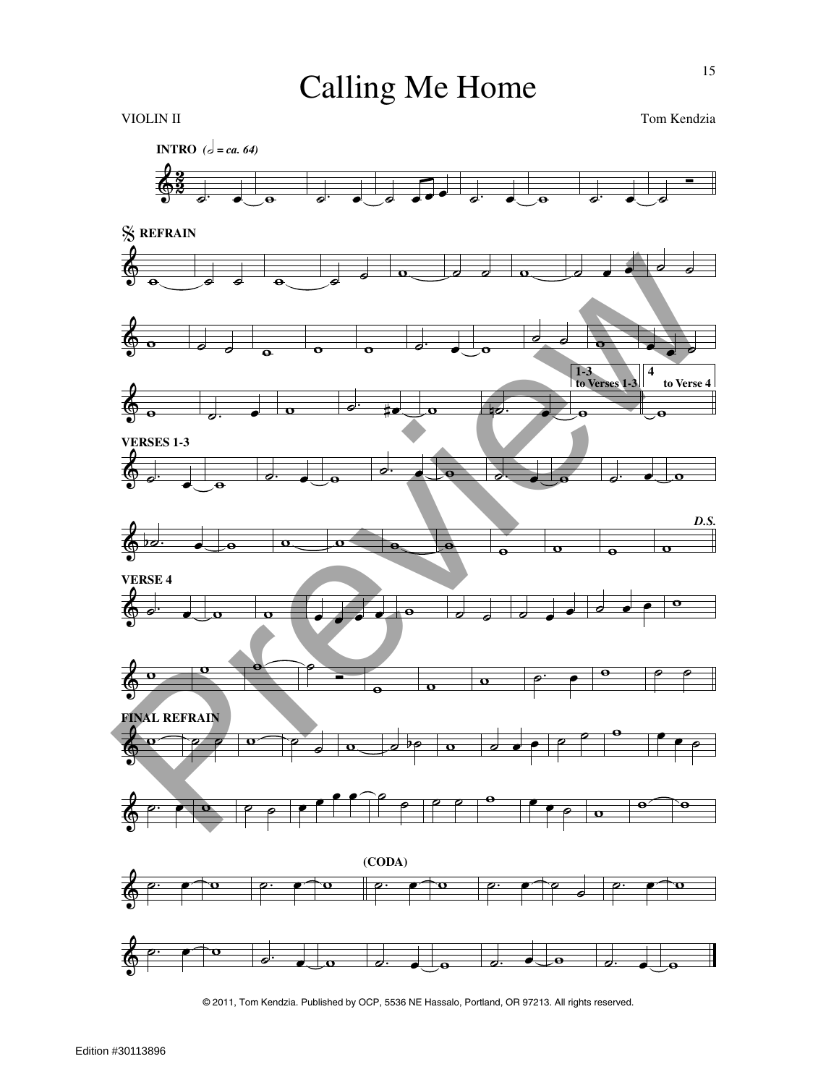

© 2011, Tom Kendzia. Published by OCP, 5536 NE Hassalo, Portland, OR 97213. All rights reserved.